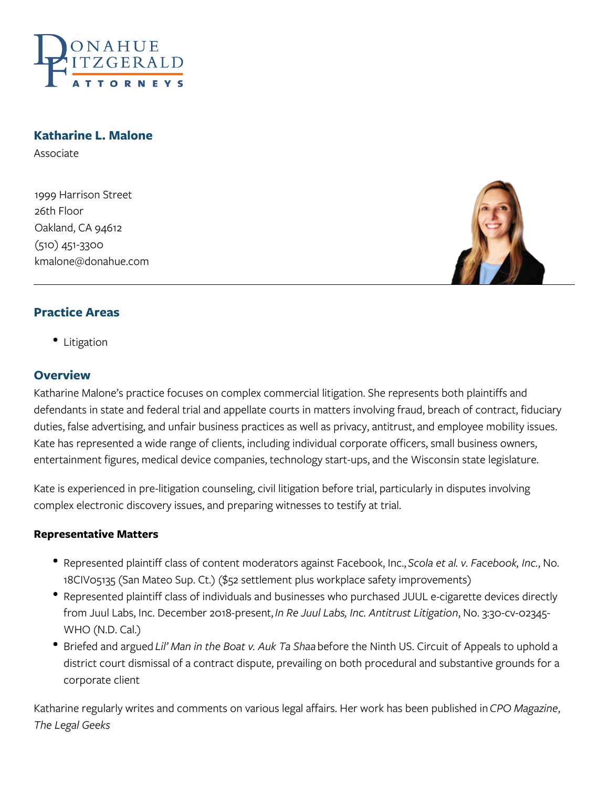

## **Katharine L. Malone**

Associate

1999 Harrison Street 26th Floor Oakland, CA 94612 (510) 451-3300 kmalone@donahue.com



## **Practice Areas**

• Litigation

#### **Overview**

Katharine Malone's practice focuses on complex commercial litigation. She represents both plaintiffs and defendants in state and federal trial and appellate courts in matters involving fraud, breach of contract, fiduciary duties, false advertising, and unfair business practices as well as privacy, antitrust, and employee mobility issues. Kate has represented a wide range of clients, including individual corporate officers, small business owners, entertainment figures, medical device companies, technology start-ups, and the Wisconsin state legislature.

Kate is experienced in pre-litigation counseling, civil litigation before trial, particularly in disputes involving complex electronic discovery issues, and preparing witnesses to testify at trial.

#### **Representative Matters**

- Represented plaintiff class of content moderators against Facebook, Inc., *Scola et al. v. Facebook, Inc.*, No. 18CIV05135 (San Mateo Sup. Ct.) (\$52 settlement plus workplace safety improvements)
- Represented plaintiff class of individuals and businesses who purchased JUUL e-cigarette devices directly from Juul Labs, Inc. December 2018-present, *In Re Juul Labs, Inc. Antitrust Litigation*, No. 3:30-cv-02345- WHO (N.D. Cal.)
- Briefed and argued *Lil' Man in the Boat v. Auk Ta Shaa* before the Ninth US. Circuit of Appeals to uphold a district court dismissal of a contract dispute, prevailing on both procedural and substantive grounds for a corporate client

Katharine regularly writes and comments on various legal affairs. Her work has been published in *CPO Magazine*, *The Legal Geeks*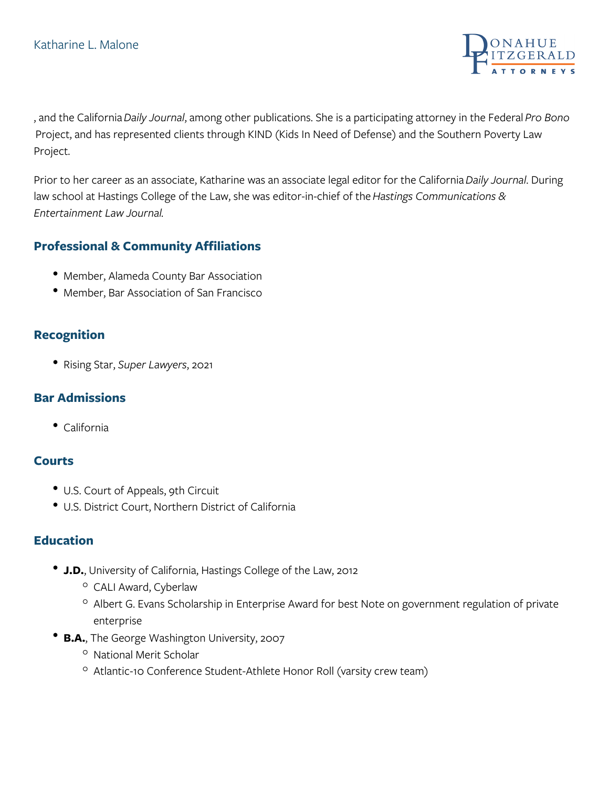

, and the California *Daily Journal*, among other publications. She is a participating attorney in the Federal *Pro Bono* Project, and has represented clients through KIND (Kids In Need of Defense) and the Southern Poverty Law Project.

Prior to her career as an associate, Katharine was an associate legal editor for the California *Daily Journal*. During law school at Hastings College of the Law, she was editor-in-chief of the *Hastings Communications & Entertainment Law Journal.*

# **Professional & Community Affiliations**

- Member, Alameda County Bar Association
- Member, Bar Association of San Francisco

## **Recognition**

Rising Star, *Super Lawyers*, 2021

## **Bar Admissions**

California

## **Courts**

- U.S. Court of Appeals, 9th Circuit
- U.S. District Court, Northern District of California

## **Education**

- **J.D.**, University of California, Hastings College of the Law, 2012
	- <sup>o</sup> CALI Award, Cyberlaw
	- $\circ$  Albert G. Evans Scholarship in Enterprise Award for best Note on government regulation of private enterprise
- **B.A.**, The George Washington University, 2007
	- <sup>o</sup> National Merit Scholar
	- $\circ$  Atlantic-10 Conference Student-Athlete Honor Roll (varsity crew team)